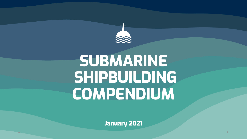

# **SUBMARINE SHIPBUILDING COMPENDIUM**

**January 2021**

1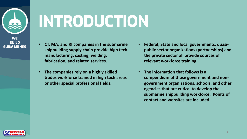

**INTRODUCTION**

- **CT, MA, and RI companies in the submarine shipbuilding supply chain provide high tech manufacturing, casting, welding, fabrication, and related services.**
- **The companies rely on a highly skilled trades workforce trained in high tech areas or other special professional fields.**
- **Federal, State and local governments, quasipublic sector organizations (partnerships) and the private sector all provide sources of relevant workforce training.**
- **The information that follows is a compendium of those government and nongovernment organizations, schools, and other agencies that are critical to develop the submarine shipbuilding workforce. Points of contact and websites are included.**

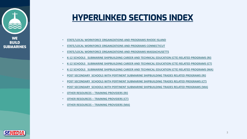## <span id="page-2-0"></span>**HYPERLINKED SECTION**

- **[STATE/LOCAL WORKFORCE ORGANIZATIONS AND](#page-28-0) PROGRAMS RHODE I**
- **STATE/LOCAL WORKFORCE ORGANIZATIONS AND PROGRAMS CONNECTION**
- **STATE/LOCAL WORKFORCE ORGANIZATIONS AND PROGRAMS MASSACHUSETTS**
- **K-12 SCHOOLS SUBMARINE SHIPBUILDING CAREER AND TECHNICAL E**
- **K-12 SCHOOLS SUBMARINE SHIPBUILDING CAREER AND TECHNICAL E**
- **K-12 SCHOOLS SUBMARINE SHIPBUILDING CAREER AND TECHNICAL E**
- **POST SECONDARY SCHOOLS WITH PERTINENT SUBMARINE SHIPBUILD**
- **POST SECONDARY SCHOOLS WITH PERTINENT SUBMARINE SHIPBUILD**
- **POST SECONDARY SCHOOLS WITH PERTINENT SUBMARINE SHIPBUILD**
- **OTHER RESOURCES – TRAINING PROVIDERS (RI)**
- **OTHER RESOURCES – TRAINING PROVIDERS (CT)**
- **OTHER RESOURCES – TRAINING PROVIDERS (MA)**

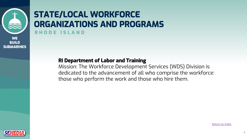

### **STATE/LOCAL WORKFORCE ORGANIZATIONS AND PROGRAM RHODE ISLAN D**

#### **RI Department of Labor and Training**

Mission: The Workforce Development Serv dedicated to the advancement of all who those who perform the work and those w

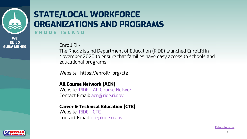

### **STATE/LOCAL WORKFORCE ORGANIZA[TIONS AND PRO](http://www.ride.ri.gov/StudentsFamilies/EducationPrograms/AdvancedCoursework.aspx)GRAM RHODE ISLAND**

Enroll RI -

The Rho[de Isla](http://www.ride.ri.gov/StudentsFamilies/EducationPrograms/CareerTechnicalEducation.aspx)[nd Department](mailto:cte@ride.ri.gov) of Education (RI November 2020 to ensure that families have educational programs.

Website: https://enrollri.org/cte

#### **All Course Network (ACN)**

Website: RIDE - All Course Network Contact Email: acn@ride.ri.gov

#### **Career & Technical Education (CTE)**

Website: RIDE - CTE Contact Email: cte@ride.ri.gov

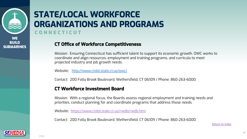

### **STATE/LOCAL WORKFORCE ORGANIZATIONS AND PROGRAM CONNECTICUT**

#### **CT Offi[ce of Workforce Competitiveness](https://www.ctdol.state.ct.us/rwdb/rwdb.htm)**

Mission: Ensuring Connecticut has sufficient talent to support coordinate and align resources, employment and training prog projected industry and job growth needs.

Website: http://www.ctdol.state.ct.us/owc/

Contact: 200 Folly Brook Boulevard, Wethersfield, CT 06109 /

#### **CT Workforce Investment Board**

Mission: With a regional focus, the Boards assess regional em priorities, conduct planning for and coordinate programs that

Website: https://www.ctdol.state.ct.us/rwdb/rwdb.htm

Contact: 200 Folly Brook Boulevard, Wethersfield, CT 06109 /

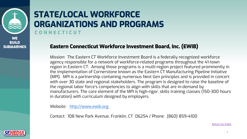

### **STATE/LOCAL WORKFORCE ORGANIZATIONS AND PROGRAM CONNECTICUT**

#### **Eastern Connecticut Workforce Investment B**

Mission: The Eastern CT Workf[orce](#page-2-0) Investment Board is agency responsible for a network of workforce-related p region in Eastern CT. Among those programs is a multithe implementation of Cornerstone known as the Easter (MPI). MPI is a partnership containing numerous Next Ge with over 30 state and regional stakeholders. The progra the regional labor force's competencies to align with skil manufacturers. The core element of the MPI is high-rigor in duration) with curriculum designed by employers.

Website: http://www.ewib.org

Contact: 108 New Park Avenue, Franklin, CT 06254 / Phone

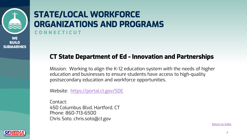

### **STATE/LOCAL WORKFORCE ORGANIZ[ATIONS AND P](https://portal.ct.gov/SDE)ROGRAM CONNECTICUT**

### **CT State Department of Ed - Innovation**

Mission: Working to align the K-12 education system education and businesses to ensure students have postsecondary education and workforce opportuni

Website: https://portal.ct.gov/SDE

Contact: 450 Columbus Blvd, Hartford, CT Phone: 860-713-6500 Chris Soto, chris.soto@ct.gov

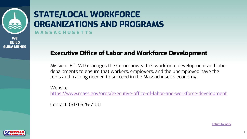

### **STATE/LOCAL WORKFORCE ORGANIZATIONS AND PROGRAM MASSACHUSETTS**

### **Executive Office of Labor and Workfo**

Mission: EOLWD manages the Commonwealth's w departments to ensure that workers, employers, a tools and training needed to succeed in the Massa

Website: https://www.mass.gov/orgs/executive-office-of-lal

Contact: (617) 626-7100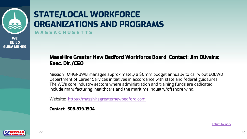

### **STATE/LOCAL WORKFORCE ORGANIZATIONS AND PROGRAM MASSACH[USETTS](https://masshiregreaternewbedford.com/)**

#### **MassHire Greater New Bedford Workforce Board Board Contact: Allegates Board Board Board Board Board Board Board Board Board Board Board Board Board Board Board Board Board Board Board Board Board Board Board Board Board B Exec. Dir./CEO**

Mission: MHGNBWB manages approximately a \$5mm bu Department of Career Services initiatives in accordance v The WB's core industry sectors where administration and include manufacturing; healthcare and the maritime indu

Website: https://masshiregreaternewbedford.com

**Contact: 508-979-1504**

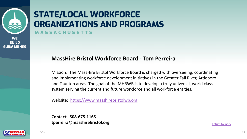

### **STATE/LOCAL WORKFORCE ORGANIZATIONS AND PROGRAM MASSACH[USETTS](https://www.masshirebristolwb.org)**

#### **MassHire Bristol Workforce Board - Tom P**

Mission: The MassHire Bristol Workforce Board is charge and implementing workforce development initiatives in the Greater and Taunton areas. The goal of the MHBWB is to develop system serving the current and future workforce and all

Website: https://www.masshirebristolwb.org

**Contact: 508-675-1165 tperreira@masshirebristol.org**

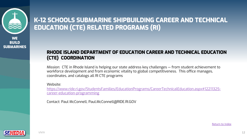

### **K-12 SCHOOLS SUBMARINE SHIPBUILDING ( EDU[CATION \(CTE\) RELATED PROGRAMS \(RI\)](https://www.ride.ri.gov/StudentsFamilies/EducationPrograms/CareerTechnicalEducation.aspx)**

#### **RHODE ISLAND DEPARTMENT OF EDUCATION CARE (CTE) COORDINATION**

Mission: CTE in Rhode Island is helping our state address key chall workforce development and from economic vitality to global comp coordinates, and catalogs all RI CTE programs

Website:

https://www.ride.ri.gov/StudentsFamilies/EducationPrograms/Care career-education-programming

Contact: Paul McConnell, Paul.McConnell@RIDE.RI.GOV

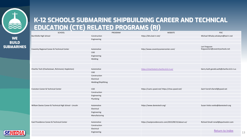

### **K-12 SCHOOLS SUBMARINE SHIPBUILDING ( EDUCATION (CTE) RELATED PROGRAMS (RI)**

| SCHOOL                                                  | PROGRAM             |                      |
|---------------------------------------------------------|---------------------|----------------------|
| <b>Burrillville High School</b>                         | Construction        | https://bhs.bsd-ri.n |
|                                                         | Engineering         |                      |
|                                                         |                     |                      |
|                                                         |                     |                      |
| Coventry Regional Career & Technical Center             | Automotive          | http://www.covent    |
|                                                         | CAD                 |                      |
|                                                         | Engineering         |                      |
|                                                         | Welding             |                      |
|                                                         |                     |                      |
|                                                         |                     |                      |
| Chariho Tech (Charlestown, Richmond, Hopkinton)         | Automotive          | https://charihotech  |
|                                                         | CAD                 |                      |
|                                                         | Construction        |                      |
|                                                         | Electrical          |                      |
|                                                         | Welding/Shipfitting |                      |
|                                                         |                     |                      |
| Cranston Career & Technical Center                      | CAD                 | https://cactc.cpsed  |
|                                                         | Construction        |                      |
|                                                         |                     |                      |
|                                                         | Engineering         |                      |
|                                                         | Plumbing            |                      |
|                                                         |                     |                      |
| William Davies Career & Technical High School - Lincoln | Automotive          | https://www.davie    |
|                                                         | Electrical          |                      |
|                                                         | Engineering         |                      |
|                                                         | Manufacturing       |                      |
|                                                         |                     |                      |
| East Providence Career & Technical Center               | Automotive          | https://eastprovide  |
|                                                         | Construction        |                      |
|                                                         | Electrical          |                      |
|                                                         | Engineering         |                      |
|                                                         |                     |                      |

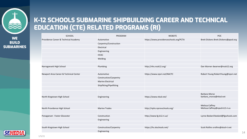

### **K-12 SCHOOLS SUBMARINE SHIPBUILDING CAREER AND TECHNICAL EDUCATION (CTE) RELATED PROGRAMS (RI)**

| <b>SCHOOL</b>                          | PROGRAM                  | <b>WEBSITE</b>                         | <b>POC</b>                           |
|----------------------------------------|--------------------------|----------------------------------------|--------------------------------------|
| Providence Career & Technical Academy  | Automotive               | https://www.providenceschools.org/PCTA | Brett Dickens Brett.Dickens@ppsd.org |
|                                        | Carpentry/Construction   |                                        |                                      |
|                                        | Electrical               |                                        |                                      |
|                                        | Engineering              |                                        |                                      |
|                                        | <b>HVAC</b>              |                                        |                                      |
|                                        | Welding                  |                                        |                                      |
|                                        |                          |                                        |                                      |
| Narragansett High School               | Plumbing                 | http://nhs.nssk12.org/                 | Dan Warner dwarner@nssk12.org        |
|                                        |                          |                                        |                                      |
| Newport Area Career & Technical Center | Automotive               | https://www.npsri.net/NACTC            | Robert Young RobertYoung@npsri.net   |
|                                        | Construction/Carpentry   |                                        |                                      |
|                                        | <b>Marine Electrical</b> |                                        |                                      |
|                                        | Shipfitting/Pipefitting  |                                        |                                      |
|                                        |                          |                                        |                                      |
|                                        |                          |                                        | <b>Barbara Morse</b>                 |
| North Kingstown High School            | Engineering              | https://www.nksd.net/                  | barbara_morse@nksd.net               |
|                                        |                          |                                        |                                      |
|                                        |                          |                                        | Melissa Caffrey                      |
| North Providence High School           | <b>Marine Trades</b>     | http://nphs.nprovschools.org/          | Melissa.Caffrey@npsd.k12.ri.us       |
|                                        |                          |                                        |                                      |
| Ponaganset - Foster Glocester          | Construction             | http://www.fg.k12.ri.us/               | Lynne Bedard Ibedard@fgschools.com   |
|                                        | Engineering              |                                        |                                      |
|                                        |                          |                                        |                                      |
| South Kingstown High School            | Construction/Carpentry   | https://hs.skschools.net/              | Scott Rollins srollins@sksd-ri.net   |
|                                        | Engineering              |                                        |                                      |

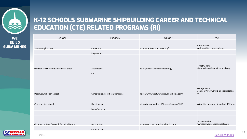

### **K-12 SCHOOLS SUBMARINE SHIPBUILDING ( EDUCATION (CTE) RELATED PROGRAMS (RI)**

| SCHOOL                                    | PROGRAM                                   |                      |
|-------------------------------------------|-------------------------------------------|----------------------|
|                                           |                                           |                      |
| Tiverton High School                      | Carpentry                                 | http://ths.tivertons |
|                                           | Engineering                               |                      |
|                                           |                                           |                      |
|                                           |                                           |                      |
| Warwick Area Career & Technical Center    | Automotive                                | https://wactc.warv   |
|                                           |                                           |                      |
|                                           | CAD                                       |                      |
|                                           |                                           |                      |
|                                           |                                           |                      |
|                                           |                                           |                      |
| West Warwick High School                  | <b>Construction/Facilities Operations</b> | https://www.westy    |
|                                           |                                           |                      |
| Westerly High School                      | Construction                              | https://www.weste    |
|                                           | Manufacturing                             |                      |
|                                           |                                           |                      |
|                                           |                                           |                      |
| Woonsocket Area Career & Technical Center | Automotive                                | http://wactc.woon    |
|                                           | Construction                              |                      |
|                                           |                                           |                      |

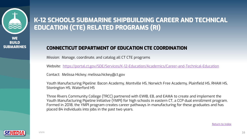

### **K-12 SCHOOLS SUBMARINE SHIPBUILDING ( EDUCATION (CTE) RELATED PROGRAMS (RI)**

#### **CONNECTICUT DEPARTMENT OF EDUCATION CTE CO**

Mission: Manage, coordinate, and catalog all CT CTE programs

Website: https://portal.ct.gov/SDE/Services/K-12-Education/Academics/Career-

Contact: Melissa Hickey; melissa.hickey@ct.gov

Youth Manufacturing Pipeline: Bacon Academy, Montville HS, Norw Stonington HS, Waterford HS

Three Rivers Community College (TRCC) partnered with EWIB, EB, and EAM Youth Manufacturing Pipeline Initiative (YMPI) for high schools in eastern Formed in 2018, the YMPI program creates career pathways in manufacturing for the S placed 84 individuals into jobs in the past two years.

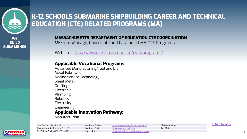

### **K-12 SCHOOLS SUBMARINE SHIPBUILDING C EDUCATION (CTE) RELATED PROGRAMS (M/**

#### **MASSACHUSETTS DEPARTMENT OF EDUCATION CTE**

Mission: Manage, Coordinate and Catalog all MA CTE F

Website: http://www.doe.mass.edu/ccte/cvte/progran

#### **Applicable Vocational Pro[grams:](https://www.gnbvt.edu/)**

Advanced Manufacturing/Tool and Die Metal Fabrication Marine Service Technology Sheet Metal Drafting Electronic Plumbing Robotics **Electricity** Engineering **Applicable Innovation Pathway:**

Manufacturing

Greater New Bedford Voc Tech HS Maritime Trades https://www.gnbvt.edu/

New Bedford High School Maritime Trades http://nbhs.newbedfordschools.org/ Old Colony Regional Voc Tech HS **Photonics Photonics** https://oldcolony.us/about-the-school/ 1799

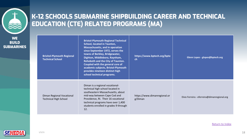

**SUBI** 

### **K-12 SCHOOLS SUBMARINE SHIPBUILDING CAREER AND TECHNICAL EDUCATION (CTE) RELATED PROGRAMS (MA)**

| WE<br>JILD<br><b>ARINES</b> | <b>Brisitol-Plymouth Regional</b><br><b>Technical School</b> | <b>Bristol-Plymouth Regional Technical</b><br><b>School, located in Taunton,</b><br><b>Massachusetts, and in operation</b><br>since September 1972, serves the<br>towns of Berkley, Bridgewater,<br>Dighton, Middleboro, Raynham,<br><b>Rehoboth and the City of Taunton.</b><br>Coupled with the general core of<br>academic subjects, Bristol-Plymouth<br>provides nineteen distinct high<br>school technical programs. | https://www.bptech.org/bpte<br>ch       | Glenn Lopes - glopes@bptech.org              |
|-----------------------------|--------------------------------------------------------------|---------------------------------------------------------------------------------------------------------------------------------------------------------------------------------------------------------------------------------------------------------------------------------------------------------------------------------------------------------------------------------------------------------------------------|-----------------------------------------|----------------------------------------------|
|                             | Diman Regional Vocational<br><b>Technical High School</b>    | Diman is a regional vocational-<br>technical high school located in<br>southeastern Massachusetts, about<br>mid-way between Cape Cod and<br>Providence, RI. Their 16 vocational<br>technical programs have over 1,400<br>students enrolled in grades 9 through<br>12.                                                                                                                                                     | https://www.dimanregional.or<br>g/Diman | Elvio Ferreira - eferreira@dimanregional.org |



Return to Index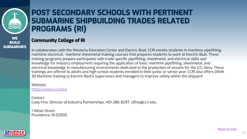

### **POST SECONDARY SCHOOLS WITH P [SUBMARIN](https://www.ccri.edu/)E SHIPBUILDING TRADES PROGRAMS (RI)**

#### **Community College of RI**

In collaboration with the Westerly Education Center and Electric Boat, CCRI  $\epsilon$ maritime electrical, maritime sheetmetal training courses that prepares students to training programs prepare participants with trade specific pipefitting, sheetr knowledge for industry employment requiring the application of basic marit electrical knowledge in manufacturing environments dedicated to the produ trainings are offered to adults and high school students enrolled in their jun 30 Maritime training to Electric Boat's supervisors and managers to improve

Website**:** https://www.ccri.edu/

Contact: Cody Fino, Director of Industry Partnerships, 401-286-8297, cjfino@ccri.edu,

1 Hilton Street, Providence, RI 02905

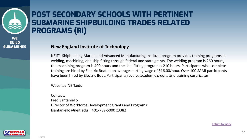

### **POST SECONDARY SCHOOLS WITH P SUBMARINE SHIPBUILDING TRADES PROGRAMS (RI)**

#### **New England Institute of Technology**

NEIT's Shipbuilding Marine and Advanced Manufacturing Institute welding, machining, and ship fitting through federal and state gr the machining program is 400 hours and the ship fitting program training are hired by Electric Boat at an average starting wage of have been hired by Electric Boat. Participants receive academic

Website**:** NEIT.edu

Contact: Fred Santaniello Director of Workforce Development Grants and Programs fsantaniello@neit.edu | 401-739-5000 x3382

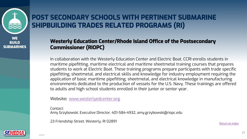

### **POST SECONDARY SCHOOLS WITH PERT SHIPBUILDING TRADES RELATED PROGR**

#### **Westerly Education Center/Rhode Island Offi Commissioner (RIOPC)**

In collaboration with the Westerly Education Center and maritime pipefitting, maritime electrical and maritime she students to work at Electric Boat. These training progran pipefitting, sheetmetal, and electrical skills and knowledg application of basic maritime pipefitting, sheetmetal, and environments dedicated to the production of vessels for to adults and high school students enrolled in their junio

Website**:** www.westerlyedcenter.org

Contact: Amy Grzybowski, Executive Director, 401-584-4932, amy.grzybo

23 Friendship Street, Westerly, RI 02891

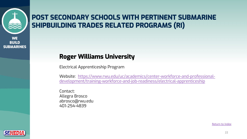

### **POST SECONDARY SCHOOLS WITH PERT SHIPBUILDING TRADES RELATED PROGR**

### **Roger Williams University**

Electrical Apprenticeship Program

Website: https://www.rwu.edu/uc/academics/cente development/training-workforce-and-job-readiness,

Contact: Allegra Brosco abrosco@rwu.edu 401-254-4839

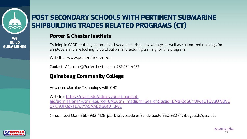

### <span id="page-22-0"></span>**POST SECONDARY SCHOOLS WITH PERT SHIPBUILDING TRADES RELATED PROGR**

#### **[Porter & Chester Institute](https://qvcc.edu/admissions-financial-aid/admissions/?utm_source=GA&utm_medium=Search&gclid=EAIaIQobChMIweOT9vuO7AIVCo7ICh0FOgkTEAAYASAAEgIS6fD_BwE)**

Training in CADD drafting, automotive, hvac/r, electrical, low voltage, as employers and are looking to build out a manufacturing training

Website: www.porterchester.edu

Contact: ACerrone@Porterchester.com, 781-234-4437

### **Quinebaug Community College**

Advanced Machine Technology with CNC

Website: https://qvcc.edu/admissions-financialaid/admissions/?utm\_source=GA&utm\_medium=Search o7ICh0FOgkTEAAYASAAEgIS6fD\_BwE

Contact: Jodi Clark 860- 932-4128, jclark1@qvcc.edu or Sandy Gould 860-932-4128, jclark1@qvcc.edu or Sandy Gou

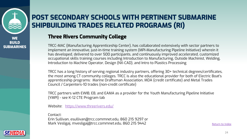

### **POST SECONDARY SCHOOLS WITH PERT SHIPBUILDING TRADES RELATED PROGR**

### **Three Rivers Community College**

TRCC-MAC (Manufacturing Apprenticeship Center), has collaborate implement an innovative, just-in-time training system (MPI-Manuf has developed, delivered to over 500 participants, and continuous occupational skills training courses including Introduction to Manu Introduction to Machine Operator, Design (NX-CAD), and Intro to PI

TRCC has a long history of serving regional industry partners, offe the most among CT community colleges. TRCC is also the educational provider for an apprenticeship programs: Marine Draftsman Association, MDA (cr Council / Carpenters-10 trades (non-credit certificate)

TRCC partners with EWIB, EB, and EAMA as a provider for the Yout (YMPI) - see K-12 CTE Program tab

Website: https://www.threerivers.edu/

Contact: Erin Sullivan, esullivan@trcc.commnet.edu, 860 215 9297 or Mark Vesligaj, mvesligaj@trcc.commnet.edu, 860 215 9442

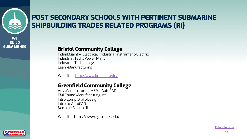

### <span id="page-24-0"></span>**POST SECONDARY SCHOOLS WITH PERT SHIPBUILDING TRADES RELATED PROGR**

#### **Bristol Community College**

Indust.Maint & Electrical Industrial Instrument/Electric Industrial Tech./Power Plant Industrial Technology Lean -Manufacturing

Website: http://www.bristolcc.edu/

#### **Greenfield Community College**

Adv Manufacturing MSMI AutoCAD FMI Found Manufacturing Int Intro Comp Draft/Design Intro to AutoCAD Machine Science II

Website: https://www.gcc.mass.edu/

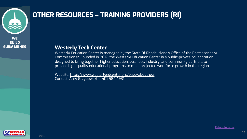

### **OTHER RESOURCES - TRAINING PROVIDER**

#### **Westerly Tech Center**

Westerly Education Center is managed by the State Of Rhode <u>Commissioner.</u> Founded in 2017, the Westerly Education Cente designed to bring together higher education, business, industry, and community partners to provide high-quality educational programs to meet projected

Website: https://www.westerlyedcenter.org/page/about-us/ Contact: Amy Grzybowski – 401 584 4931

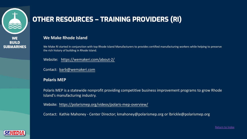

### **OTHER RESOURCES - TRAINING PROVIDER**

#### **We Make [Rhode](https://polarismep.org/videos/polaris-mep-overview/) Island**

We Make RI started in conjunction with top Rhode Island Manufacturers to provides certifie the rich history of building in Rhode Island.

Website: https://wemakeri.com/about-2/

Contact: barb@wemakeri.com

#### **Polaris MEP**

Polaris MEP is a statewide nonprofit providing competitive business improvement provement products. Island's manufacturing industry.

Website: https://polarismep.org/videos/polaris-mep-overview/

Contact: Kathie Mahoney - Center Director; kmahoney@polarismep.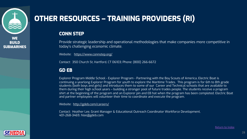

### **OTHER RESOURCES - TRAINING PROV**

#### **CONN STEP**

Provide [strategic leadership an](http://gdeb.com/careers/)d operational methodologies today's challenging economic climate.

Website: https://www.connstep.org/

Contact: 350 Church St, Hartford, CT 06103; Phone: (800) 266-6672

#### **GD EB**

Explorer Program Middle School - Explorer Program - Partnering with continuing a yearlong Explorer Program for youth to explore the Mar students (both boys and girls) and introduces them to some of our C them during their high school years - building a stronger pool of futu shirt at the beginning of the program and an Explorer pin and EB hat and partner employees will volunteer their time to coordinate and ex

Website: http://gdeb.com/careers/

Contact: Heather Lee, Grant Manager & Educational Outreach Coordin 401-268-3469, hlee@gdeb.com